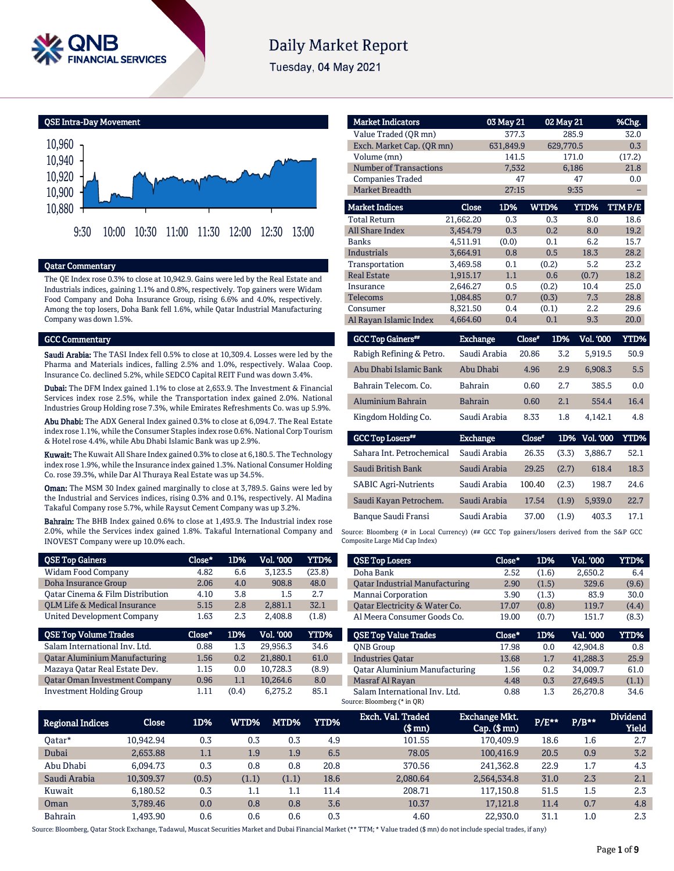

# **Daily Market Report**

Tuesday, 04 May 2021

QSE Intra-Day Movement



### Qatar Commentary

The QE Index rose 0.3% to close at 10,942.9. Gains were led by the Real Estate and Industrials indices, gaining 1.1% and 0.8%, respectively. Top gainers were Widam Food Company and Doha Insurance Group, rising 6.6% and 4.0%, respectively. Among the top losers, Doha Bank fell 1.6%, while Qatar Industrial Manufacturing Company was down 1.5%.

#### GCC Commentary

Saudi Arabia: The TASI Index fell 0.5% to close at 10,309.4. Losses were led by the Pharma and Materials indices, falling 2.5% and 1.0%, respectively. Walaa Coop. Insurance Co. declined 5.2%, while SEDCO Capital REIT Fund was down 3.4%.

Dubai: The DFM Index gained 1.1% to close at 2,653.9. The Investment & Financial Services index rose 2.5%, while the Transportation index gained 2.0%. National Industries Group Holding rose 7.3%, while Emirates Refreshments Co. was up 5.9%.

Abu Dhabi: The ADX General Index gained 0.3% to close at 6,094.7. The Real Estate index rose 1.1%, while the Consumer Staples index rose 0.6%. National Corp Tourism & Hotel rose 4.4%, while Abu Dhabi Islamic Bank was up 2.9%.

Kuwait: The Kuwait All Share Index gained 0.3% to close at 6,180.5. The Technology index rose 1.9%, while the Insurance index gained 1.3%. National Consumer Holding Co. rose 39.3%, while Dar Al Thuraya Real Estate was up 34.5%.

**Oman:** The MSM 30 Index gained marginally to close at 3,789.5. Gains were led by the Industrial and Services indices, rising 0.3% and 0.1%, respectively. Al Madina Takaful Company rose 5.7%, while Raysut Cement Company was up 3.2%.

Bahrain: The BHB Index gained 0.6% to close at 1,493.9. The Industrial index rose 2.0%, while the Services index gained 1.8%. Takaful International Company and INOVEST Company were up 10.0% each.

| <b>QSE Top Gainers</b>                  | Close* | 1D% | <b>Vol. '000</b> | YTD%   |
|-----------------------------------------|--------|-----|------------------|--------|
| Widam Food Company                      | 4.82   | 6.6 | 3,123.5          | (23.8) |
| Doha Insurance Group                    | 2.06   | 4.0 | 908.8            | 48.0   |
| Oatar Cinema & Film Distribution        | 4.10   | 3.8 | 1.5              | 2.7    |
| <b>OLM Life &amp; Medical Insurance</b> | 5.15   | 2.8 | 2.881.1          | 32.1   |
| <b>United Development Company</b>       | 1.63   | 2.3 | 2.408.8          | (1.8)  |
|                                         |        |     |                  |        |
| <b>QSE Top Volume Trades</b>            | Close* | 1D% | <b>Vol. '000</b> | YTD%   |
| Salam International Inv. Ltd.           | 0.88   | 1.3 | 29.956.3         | 34.6   |
| <b>Qatar Aluminium Manufacturing</b>    | 1.56   | 0.2 | 21.880.1         | 61.0   |
| Mazaya Qatar Real Estate Dev.           | 1.15   | 0.0 | 10.728.3         | (8.9)  |
| <b>Qatar Oman Investment Company</b>    | 0.96   | 1.1 | 10.264.6         | 8.0    |

| <b>Market Indicators</b>      |                 | 03 May 21       |               | 02 May 21                              | %Chg.  |
|-------------------------------|-----------------|-----------------|---------------|----------------------------------------|--------|
| Value Traded (OR mn)          |                 | 377.3           |               | 285.9                                  | 32.0   |
| Exch. Market Cap. (QR mn)     |                 | 631,849.9       |               | 629,770.5                              | 0.3    |
| Volume (mn)                   |                 | 141.5           |               | 171.0                                  | (17.2) |
| <b>Number of Transactions</b> |                 | 7,532           |               | 6,186                                  | 21.8   |
| <b>Companies Traded</b>       |                 | 47              |               | 47                                     | 0.0    |
| <b>Market Breadth</b>         |                 | 27:15           |               | 9:35                                   |        |
| <b>Market Indices</b>         | Close           | 1D%             | WTD%          | YTD%                                   | TTMP/E |
| <b>Total Return</b>           | 21,662.20       | 0.3             | 0.3           | 8.0                                    | 18.6   |
| <b>All Share Index</b>        | 3.454.79        | 0.3             | 0.2           | 8.0                                    | 19.2   |
| Banks                         | 4,511.91        | (0.0)           | 0.1           | 6.2                                    | 15.7   |
| <b>Industrials</b>            | 3.664.91        | 0.8             | 0.5           | 18.3                                   | 28.2   |
| Transportation                | 3,469.58        | 0.1             | (0.2)         | 5.2                                    | 23.2   |
| <b>Real Estate</b>            | 1,915.17        | 1.1             | 0.6           | (0.7)                                  | 18.2   |
| Insurance                     | 2,646.27        | 0.5             | (0.2)         | 10.4                                   | 25.0   |
| <b>Telecoms</b>               | 1,084.85        | 0.7             | (0.3)         | 7.3                                    | 28.8   |
| Consumer                      | 8,321.50        | 0.4             | (0.1)         | 2.2                                    | 29.6   |
| Al Rayan Islamic Index        | 4,664.60        | 0.4             | 0.1           | 9.3                                    | 20.0   |
| <b>GCC Top Gainers</b> **     | <b>Exchange</b> |                 | Close*<br>1D% | <b>Vol. '000</b>                       | YTD%   |
| <b>PIIIP CII API</b>          |                 | $\sim$ $\cdots$ | $\sim$ $\sim$ | $ -$<br>$R$ $\alpha$ $\alpha$ $\alpha$ | $-0$   |

| Rabigh Refining & Petro.            | Saudi Arabia    | 20.86  | 3.2   | 5,919.5   | 50.9 |
|-------------------------------------|-----------------|--------|-------|-----------|------|
| Abu Dhabi Islamic Bank              | Abu Dhabi       | 4.96   | 2.9   | 6,908.3   | 5.5  |
| Bahrain Telecom, Co.                | Bahrain         | 0.60   | 2.7   | 385.5     | 0.0  |
| <b>Aluminium Bahrain</b>            | <b>Bahrain</b>  | 0.60   | 2.1   | 554.4     | 16.4 |
| Kingdom Holding Co.                 | Saudi Arabia    | 8.33   | 1.8   | 4.142.1   | 4.8  |
|                                     |                 |        |       |           |      |
| <b>GCC Top Losers</b> <sup>##</sup> | <b>Exchange</b> | Close* | 1D%   | Vol. '000 | YTD% |
| Sahara Int. Petrochemical           | Saudi Arabia    | 26.35  | (3.3) | 3.886.7   | 52.1 |
| Saudi British Bank                  | Saudi Arabia    | 29.25  | (2.7) | 618.4     | 18.3 |
| <b>SABIC Agri-Nutrients</b>         | Saudi Arabia    | 100.40 | (2.3) | 198.7     | 24.6 |
| Saudi Kayan Petrochem.              | Saudi Arabia    | 17.54  | (1.9) | 5.939.0   | 22.7 |

Source: Bloomberg (# in Local Currency) (## GCC Top gainers/losers derived from the S&P GCC Composite Large Mid Cap Index)

| Vol. '000<br>Close*<br>1D%<br><b>QSE Top Losers</b><br>2.650.2<br>Doha Bank<br>2.52<br>(1.6)<br>6.4<br>329.6<br><b>Oatar Industrial Manufacturing</b><br>2.90<br>(9.6)<br>(1.5)<br>Mannai Corporation<br>83.9<br>30.0<br>3.90<br>(1.3)<br>Oatar Electricity & Water Co.<br>17.07<br>(0.8)<br>119.7<br>(4.4)<br>Al Meera Consumer Goods Co.<br>(8.3)<br>19.00<br>(0.7)<br>151.7<br><b>OSE Top Value Trades</b><br>Close*<br>Val. '000<br>1D%<br>42.904.8<br><b>ONB</b> Group<br>17.98<br>0.0<br>0.8<br>41.288.3<br><b>Industries Oatar</b><br>13.68<br>1.7<br>25.9<br><b>Qatar Aluminium Manufacturing</b><br>34.009.7<br>0.2<br>1.56<br>61.0<br>Masraf Al Rayan<br>27.649.5<br>4.48<br>0.3<br>(1.1)<br>Salam International Inv. Ltd.<br>26,270.8<br>1.3<br>34.6<br>0.88 |  |  |      |
|-------------------------------------------------------------------------------------------------------------------------------------------------------------------------------------------------------------------------------------------------------------------------------------------------------------------------------------------------------------------------------------------------------------------------------------------------------------------------------------------------------------------------------------------------------------------------------------------------------------------------------------------------------------------------------------------------------------------------------------------------------------------------|--|--|------|
| Source: Bloomberg (* in QR)                                                                                                                                                                                                                                                                                                                                                                                                                                                                                                                                                                                                                                                                                                                                             |  |  | YTD% |
|                                                                                                                                                                                                                                                                                                                                                                                                                                                                                                                                                                                                                                                                                                                                                                         |  |  |      |
|                                                                                                                                                                                                                                                                                                                                                                                                                                                                                                                                                                                                                                                                                                                                                                         |  |  |      |
|                                                                                                                                                                                                                                                                                                                                                                                                                                                                                                                                                                                                                                                                                                                                                                         |  |  |      |
|                                                                                                                                                                                                                                                                                                                                                                                                                                                                                                                                                                                                                                                                                                                                                                         |  |  |      |
|                                                                                                                                                                                                                                                                                                                                                                                                                                                                                                                                                                                                                                                                                                                                                                         |  |  |      |
|                                                                                                                                                                                                                                                                                                                                                                                                                                                                                                                                                                                                                                                                                                                                                                         |  |  | YTD% |
|                                                                                                                                                                                                                                                                                                                                                                                                                                                                                                                                                                                                                                                                                                                                                                         |  |  |      |
|                                                                                                                                                                                                                                                                                                                                                                                                                                                                                                                                                                                                                                                                                                                                                                         |  |  |      |
|                                                                                                                                                                                                                                                                                                                                                                                                                                                                                                                                                                                                                                                                                                                                                                         |  |  |      |
|                                                                                                                                                                                                                                                                                                                                                                                                                                                                                                                                                                                                                                                                                                                                                                         |  |  |      |
|                                                                                                                                                                                                                                                                                                                                                                                                                                                                                                                                                                                                                                                                                                                                                                         |  |  |      |

| <b>Regional Indices</b> | Close     | 1D%   | WTD%  | MTD%    | <b>YTD%</b> | Exch. Val. Traded<br>$$$ mn $)$ | Exchange Mkt.'<br>$Cap.$ (\$ mn) | P/E** | $P/B**$ | <b>Dividend</b><br><b>Yield</b> |
|-------------------------|-----------|-------|-------|---------|-------------|---------------------------------|----------------------------------|-------|---------|---------------------------------|
| 0atar*                  | 10.942.94 | 0.3   | 0.3   | 0.3     | 4.9         | 101.55                          | 170,409.9                        | 18.6  | 1.6     | 2.7                             |
| Dubai                   | 2.653.88  | 1.1   | 1.9   | 1.9     | 6.5         | 78.05                           | 100.416.9                        | 20.5  | 0.9     | 3.2                             |
| Abu Dhabi               | 6.094.73  | 0.3   | 0.8   | 0.8     | 20.8        | 370.56                          | 241.362.8                        | 22.9  | 1.7     | 4.3                             |
| Saudi Arabia            | 10.309.37 | (0.5) | (1.1) | (1.1)   | 18.6        | 2,080.64                        | 2,564,534.8                      | 31.0  | 2.3     | 2.1                             |
| Kuwait                  | 6.180.52  | 0.3   | 1.1   | $1.1\,$ | 11.4        | 208.71                          | 117.150.8                        | 51.5  | 1.5     | 2.3                             |
| Oman                    | 3.789.46  | 0.0   | 0.8   | 0.8     | 3.6         | 10.37                           | 17.121.8                         | 11.4  | 0.7     | 4.8                             |
| <b>Bahrain</b>          | 1.493.90  | 0.6   | 0.6   | 0.6     | 0.3         | 4.60                            | 22.930.0                         | 31.1  | 1.0     | 2.3                             |

Source: Bloomberg, Qatar Stock Exchange, Tadawul, Muscat Securities Market and Dubai Financial Market (\*\* TTM; \* Value traded (\$ mn) do not include special trades, if any)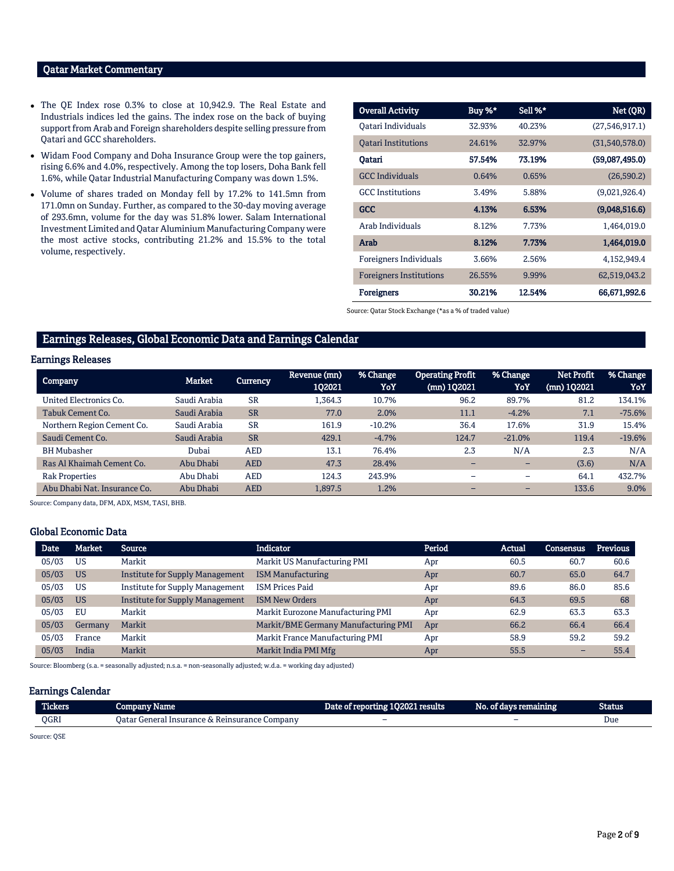# Qatar Market Commentary

- The QE Index rose 0.3% to close at 10,942.9. The Real Estate and Industrials indices led the gains. The index rose on the back of buying support from Arab and Foreign shareholders despite selling pressure from Qatari and GCC shareholders.
- Widam Food Company and Doha Insurance Group were the top gainers, rising 6.6% and 4.0%, respectively. Among the top losers, Doha Bank fell 1.6%, while Qatar Industrial Manufacturing Company was down 1.5%.
- Volume of shares traded on Monday fell by 17.2% to 141.5mn from 171.0mn on Sunday. Further, as compared to the 30-day moving average of 293.6mn, volume for the day was 51.8% lower. Salam International Investment Limited and Qatar Aluminium Manufacturing Company were the most active stocks, contributing 21.2% and 15.5% to the total volume, respectively.

| <b>Overall Activity</b>        | Buy %* | Sell %* | Net (QR)         |
|--------------------------------|--------|---------|------------------|
| Oatari Individuals             | 32.93% | 40.23%  | (27, 546, 917.1) |
| <b>Oatari Institutions</b>     | 24.61% | 32.97%  | (31,540,578.0)   |
| Oatari                         | 57.54% | 73.19%  | (59,087,495.0)   |
| <b>GCC</b> Individuals         | 0.64%  | 0.65%   | (26,590.2)       |
| <b>GCC</b> Institutions        | 3.49%  | 5.88%   | (9,021,926.4)    |
| <b>GCC</b>                     | 4.13%  | 6.53%   | (9,048,516.6)    |
| Arab Individuals               | 8.12%  | 7.73%   | 1,464,019.0      |
| Arab                           | 8.12%  | 7.73%   | 1,464,019.0      |
| Foreigners Individuals         | 3.66%  | 2.56%   | 4,152,949.4      |
| <b>Foreigners Institutions</b> | 26.55% | 9.99%   | 62,519,043.2     |
| <b>Foreigners</b>              | 30.21% | 12.54%  | 66,671,992.6     |

Source: Qatar Stock Exchange (\*as a % of traded value)

# Earnings Releases, Global Economic Data and Earnings Calendar

# Earnings Releases

| <b>Company</b>               | Market       | <b>Currency</b> | Revenue (mn)<br>102021 | % Change<br>YoY | <b>Operating Profit</b><br>(mn) 102021 | % Change<br>YoY          | <b>Net Profit</b><br>(mn) 102021 | % Change<br>YoY |
|------------------------------|--------------|-----------------|------------------------|-----------------|----------------------------------------|--------------------------|----------------------------------|-----------------|
| United Electronics Co.       | Saudi Arabia | <b>SR</b>       | L.364.3                | 10.7%           | 96.2                                   | 89.7%                    | 81.2                             | 134.1%          |
| Tabuk Cement Co.             | Saudi Arabia | <b>SR</b>       | 77.0                   | 2.0%            | 11.1                                   | $-4.2%$                  | 7.1                              | $-75.6%$        |
| Northern Region Cement Co.   | Saudi Arabia | <b>SR</b>       | 161.9                  | $-10.2%$        | 36.4                                   | 17.6%                    | 31.9                             | 15.4%           |
| Saudi Cement Co.             | Saudi Arabia | <b>SR</b>       | 429.1                  | $-4.7%$         | 124.7                                  | $-21.0%$                 | 119.4                            | $-19.6%$        |
| <b>BH Mubasher</b>           | Dubai        | <b>AED</b>      | 13.1                   | 76.4%           | 2.3                                    | N/A                      | 2.3                              | N/A             |
| Ras Al Khaimah Cement Co.    | Abu Dhabi    | <b>AED</b>      | 47.3                   | 28.4%           |                                        |                          | (3.6)                            | N/A             |
| <b>Rak Properties</b>        | Abu Dhabi    | <b>AED</b>      | 124.3                  | 243.9%          | $\overline{\phantom{0}}$               | $\overline{\phantom{0}}$ | 64.1                             | 432.7%          |
| Abu Dhabi Nat. Insurance Co. | Abu Dhabi    | <b>AED</b>      | 1,897.5                | 1.2%            | -                                      |                          | 133.6                            | 9.0%            |

Source: Company data, DFM, ADX, MSM, TASI, BHB.

#### Global Economic Data

| <b>Date</b> | <b>Market</b> | Source                                 | <b>Indicator</b>                     | Period | <b>Actual</b> | Consensus                | <b>Previous</b> |
|-------------|---------------|----------------------------------------|--------------------------------------|--------|---------------|--------------------------|-----------------|
| 05/03       | US            | Markit                                 | Markit US Manufacturing PMI          | Apr    | 60.5          | 60.7                     | 60.6            |
| 05/03       | <b>US</b>     | <b>Institute for Supply Management</b> | <b>ISM Manufacturing</b>             | Apr    | 60.7          | 65.0                     | 64.7            |
| 05/03       | <b>US</b>     | <b>Institute for Supply Management</b> | <b>ISM Prices Paid</b>               | Apr    | 89.6          | 86.0                     | 85.6            |
| 05/03       | <b>US</b>     | <b>Institute for Supply Management</b> | <b>ISM New Orders</b>                | Apr    | 64.3          | 69.5                     | 68              |
| 05/03       | EU            | Markit                                 | Markit Eurozone Manufacturing PMI    | Apr    | 62.9          | 63.3                     | 63.3            |
| 05/03       | Germany       | Markit                                 | Markit/BME Germany Manufacturing PMI | Apr    | 66.2          | 66.4                     | 66.4            |
| 05/03       | France        | Markit                                 | Markit France Manufacturing PMI      | Apr    | 58.9          | 59.2                     | 59.2            |
| 05/03       | India         | Markit                                 | Markit India PMI Mfg                 | Apr    | 55.5          | $\overline{\phantom{0}}$ | 55.4            |

Source: Bloomberg (s.a. = seasonally adjusted; n.s.a. = non-seasonally adjusted; w.d.a. = working day adjusted)

#### Earnings Calendar

| <b>Hekers</b> | Name<br>"umenda                                                         | Date.<br>021 results<br>or reporting | $-1$<br>No.<br>aays remaining! | <b>Status</b> |
|---------------|-------------------------------------------------------------------------|--------------------------------------|--------------------------------|---------------|
| OGRI          | Company<br>Reinsurance<br>Jatar<br>General<br>l Insurance.<br>$\lambda$ | -                                    | -                              | Due           |

Source: QSE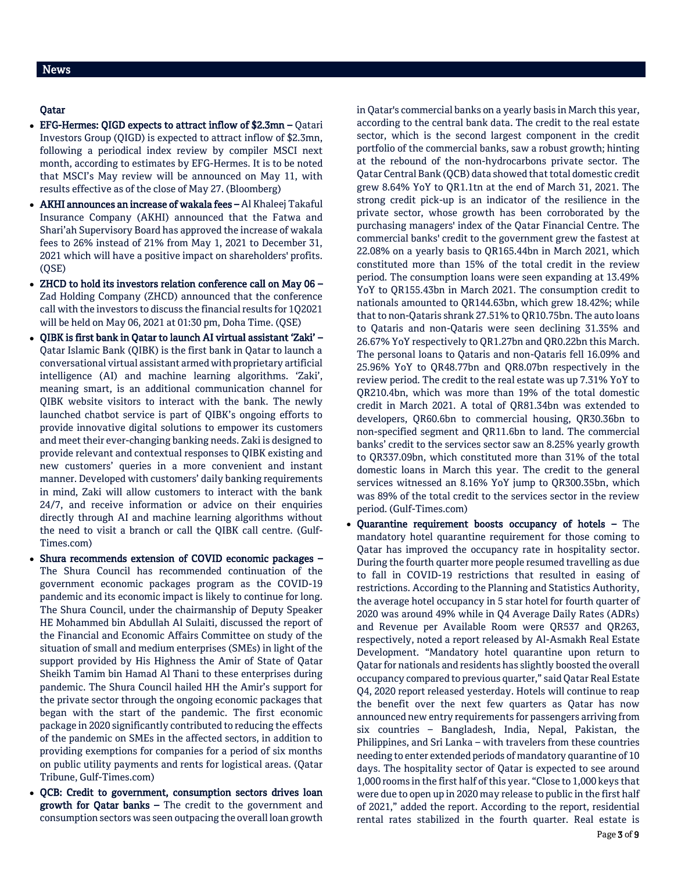# Qatar

- EFG-Hermes: QIGD expects to attract inflow of \$2.3mn Qatari Investors Group (QIGD) is expected to attract inflow of \$2.3mn, following a periodical index review by compiler MSCI next month, according to estimates by EFG-Hermes. It is to be noted that MSCI's May review will be announced on May 11, with results effective as of the close of May 27. (Bloomberg)
- AKHI announces an increase of wakala fees Al Khaleej Takaful Insurance Company (AKHI) announced that the Fatwa and Shari'ah Supervisory Board has approved the increase of wakala fees to 26% instead of 21% from May 1, 2021 to December 31, 2021 which will have a positive impact on shareholders' profits. (QSE)
- ZHCD to hold its investors relation conference call on May 06 Zad Holding Company (ZHCD) announced that the conference call with the investors to discuss the financial results for 1Q2021 will be held on May 06, 2021 at 01:30 pm, Doha Time. (QSE)
- QIBK is first bank in Qatar to launch AI virtual assistant 'Zaki' Qatar Islamic Bank (QIBK) is the first bank in Qatar to launch a conversational virtual assistant armed with proprietary artificial intelligence (AI) and machine learning algorithms. 'Zaki', meaning smart, is an additional communication channel for QIBK website visitors to interact with the bank. The newly launched chatbot service is part of QIBK's ongoing efforts to provide innovative digital solutions to empower its customers and meet their ever-changing banking needs. Zaki is designed to provide relevant and contextual responses to QIBK existing and new customers' queries in a more convenient and instant manner. Developed with customers' daily banking requirements in mind, Zaki will allow customers to interact with the bank 24/7, and receive information or advice on their enquiries directly through AI and machine learning algorithms without the need to visit a branch or call the QIBK call centre. (Gulf-Times.com)
- Shura recommends extension of COVID economic packages The Shura Council has recommended continuation of the government economic packages program as the COVID-19 pandemic and its economic impact is likely to continue for long. The Shura Council, under the chairmanship of Deputy Speaker HE Mohammed bin Abdullah Al Sulaiti, discussed the report of the Financial and Economic Affairs Committee on study of the situation of small and medium enterprises (SMEs) in light of the support provided by His Highness the Amir of State of Qatar Sheikh Tamim bin Hamad Al Thani to these enterprises during pandemic. The Shura Council hailed HH the Amir's support for the private sector through the ongoing economic packages that began with the start of the pandemic. The first economic package in 2020 significantly contributed to reducing the effects of the pandemic on SMEs in the affected sectors, in addition to providing exemptions for companies for a period of six months on public utility payments and rents for logistical areas. (Qatar Tribune, Gulf-Times.com)
- QCB: Credit to government, consumption sectors drives loan growth for Qatar banks – The credit to the government and consumption sectors was seen outpacing the overall loan growth

in Qatar's commercial banks on a yearly basis in March this year, according to the central bank data. The credit to the real estate sector, which is the second largest component in the credit portfolio of the commercial banks, saw a robust growth; hinting at the rebound of the non-hydrocarbons private sector. The Qatar Central Bank (QCB) data showed that total domestic credit grew 8.64% YoY to QR1.1tn at the end of March 31, 2021. The strong credit pick-up is an indicator of the resilience in the private sector, whose growth has been corroborated by the purchasing managers' index of the Qatar Financial Centre. The commercial banks' credit to the government grew the fastest at 22.08% on a yearly basis to QR165.44bn in March 2021, which constituted more than 15% of the total credit in the review period. The consumption loans were seen expanding at 13.49% YoY to QR155.43bn in March 2021. The consumption credit to nationals amounted to QR144.63bn, which grew 18.42%; while that to non-Qataris shrank 27.51% to QR10.75bn. The auto loans to Qataris and non-Qataris were seen declining 31.35% and 26.67% YoY respectively to QR1.27bn and QR0.22bn this March. The personal loans to Qataris and non-Qataris fell 16.09% and 25.96% YoY to QR48.77bn and QR8.07bn respectively in the review period. The credit to the real estate was up 7.31% YoY to QR210.4bn, which was more than 19% of the total domestic credit in March 2021. A total of QR81.34bn was extended to developers, QR60.6bn to commercial housing, QR30.36bn to non-specified segment and QR11.6bn to land. The commercial banks' credit to the services sector saw an 8.25% yearly growth to QR337.09bn, which constituted more than 31% of the total domestic loans in March this year. The credit to the general services witnessed an 8.16% YoY jump to QR300.35bn, which was 89% of the total credit to the services sector in the review period. (Gulf-Times.com)

 Quarantine requirement boosts occupancy of hotels – The mandatory hotel quarantine requirement for those coming to Qatar has improved the occupancy rate in hospitality sector. During the fourth quarter more people resumed travelling as due to fall in COVID-19 restrictions that resulted in easing of restrictions. According to the Planning and Statistics Authority, the average hotel occupancy in 5 star hotel for fourth quarter of 2020 was around 49% while in Q4 Average Daily Rates (ADRs) and Revenue per Available Room were QR537 and QR263, respectively, noted a report released by Al-Asmakh Real Estate Development. "Mandatory hotel quarantine upon return to Qatar for nationals and residents has slightly boosted the overall occupancy compared to previous quarter," said Qatar Real Estate Q4, 2020 report released yesterday. Hotels will continue to reap the benefit over the next few quarters as Qatar has now announced new entry requirements for passengers arriving from six countries – Bangladesh, India, Nepal, Pakistan, the Philippines, and Sri Lanka – with travelers from these countries needing to enter extended periods of mandatory quarantine of 10 days. The hospitality sector of Qatar is expected to see around 1,000 rooms in the first half of this year. "Close to 1,000 keys that were due to open up in 2020 may release to public in the first half of 2021," added the report. According to the report, residential rental rates stabilized in the fourth quarter. Real estate is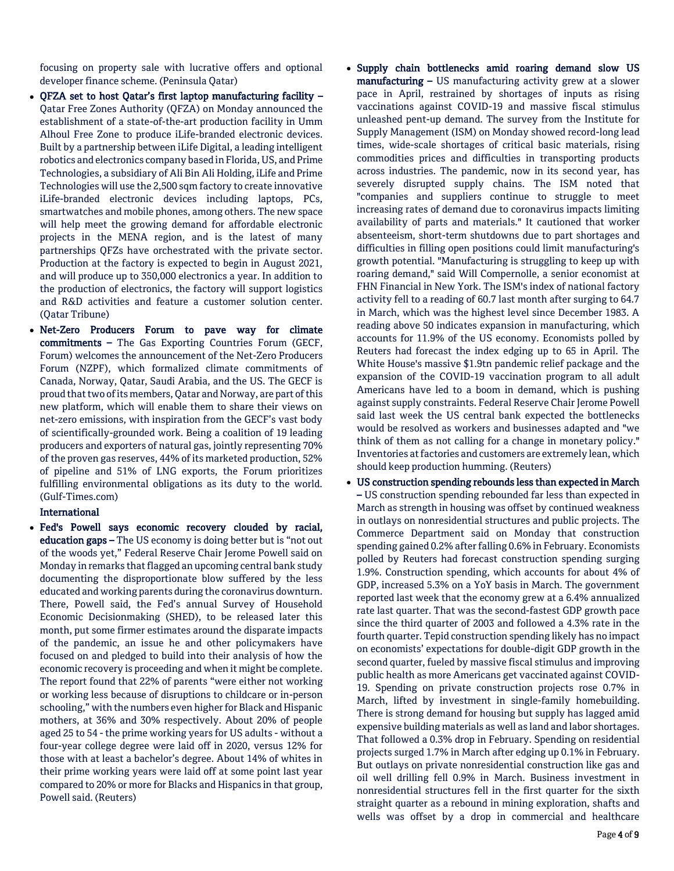focusing on property sale with lucrative offers and optional developer finance scheme. (Peninsula Qatar)

- QFZA set to host Qatar's first laptop manufacturing facility Qatar Free Zones Authority (QFZA) on Monday announced the establishment of a state-of-the-art production facility in Umm Alhoul Free Zone to produce iLife-branded electronic devices. Built by a partnership between iLife Digital, a leading intelligent robotics and electronics company based in Florida, US, and Prime Technologies, a subsidiary of Ali Bin Ali Holding, iLife and Prime Technologies will use the 2,500 sqm factory to create innovative iLife-branded electronic devices including laptops, PCs, smartwatches and mobile phones, among others. The new space will help meet the growing demand for affordable electronic projects in the MENA region, and is the latest of many partnerships QFZs have orchestrated with the private sector. Production at the factory is expected to begin in August 2021, and will produce up to 350,000 electronics a year. In addition to the production of electronics, the factory will support logistics and R&D activities and feature a customer solution center. (Qatar Tribune)
- Net-Zero Producers Forum to pave way for climate commitments – The Gas Exporting Countries Forum (GECF, Forum) welcomes the announcement of the Net-Zero Producers Forum (NZPF), which formalized climate commitments of Canada, Norway, Qatar, Saudi Arabia, and the US. The GECF is proud that two of its members, Qatar and Norway, are part of this new platform, which will enable them to share their views on net-zero emissions, with inspiration from the GECF's vast body of scientifically-grounded work. Being a coalition of 19 leading producers and exporters of natural gas, jointly representing 70% of the proven gas reserves, 44% of its marketed production, 52% of pipeline and 51% of LNG exports, the Forum prioritizes fulfilling environmental obligations as its duty to the world. (Gulf-Times.com)

# International

- Fed's Powell says economic recovery clouded by racial, education gaps – The US economy is doing better but is "not out of the woods yet," Federal Reserve Chair Jerome Powell said on Monday in remarks that flagged an upcoming central bank study documenting the disproportionate blow suffered by the less educated and working parents during the coronavirus downturn. There, Powell said, the Fed's annual Survey of Household Economic Decisionmaking (SHED), to be released later this month, put some firmer estimates around the disparate impacts of the pandemic, an issue he and other policymakers have focused on and pledged to build into their analysis of how the economic recovery is proceeding and when it might be complete. The report found that 22% of parents "were either not working or working less because of disruptions to childcare or in-person schooling," with the numbers even higher for Black and Hispanic mothers, at 36% and 30% respectively. About 20% of people aged 25 to 54 - the prime working years for US adults - without a four-year college degree were laid off in 2020, versus 12% for those with at least a bachelor's degree. About 14% of whites in their prime working years were laid off at some point last year compared to 20% or more for Blacks and Hispanics in that group, Powell said. (Reuters)
- Supply chain bottlenecks amid roaring demand slow US manufacturing – US manufacturing activity grew at a slower pace in April, restrained by shortages of inputs as rising vaccinations against COVID-19 and massive fiscal stimulus unleashed pent-up demand. The survey from the Institute for Supply Management (ISM) on Monday showed record-long lead times, wide-scale shortages of critical basic materials, rising commodities prices and difficulties in transporting products across industries. The pandemic, now in its second year, has severely disrupted supply chains. The ISM noted that "companies and suppliers continue to struggle to meet increasing rates of demand due to coronavirus impacts limiting availability of parts and materials." It cautioned that worker absenteeism, short-term shutdowns due to part shortages and difficulties in filling open positions could limit manufacturing's growth potential. "Manufacturing is struggling to keep up with roaring demand," said Will Compernolle, a senior economist at FHN Financial in New York. The ISM's index of national factory activity fell to a reading of 60.7 last month after surging to 64.7 in March, which was the highest level since December 1983. A reading above 50 indicates expansion in manufacturing, which accounts for 11.9% of the US economy. Economists polled by Reuters had forecast the index edging up to 65 in April. The White House's massive \$1.9tn pandemic relief package and the expansion of the COVID-19 vaccination program to all adult Americans have led to a boom in demand, which is pushing against supply constraints. Federal Reserve Chair Jerome Powell said last week the US central bank expected the bottlenecks would be resolved as workers and businesses adapted and "we think of them as not calling for a change in monetary policy." Inventories at factories and customers are extremely lean, which should keep production humming. (Reuters)
- US construction spending rebounds less than expected in March – US construction spending rebounded far less than expected in March as strength in housing was offset by continued weakness in outlays on nonresidential structures and public projects. The Commerce Department said on Monday that construction spending gained 0.2% after falling 0.6% in February. Economists polled by Reuters had forecast construction spending surging 1.9%. Construction spending, which accounts for about 4% of GDP, increased 5.3% on a YoY basis in March. The government reported last week that the economy grew at a 6.4% annualized rate last quarter. That was the second-fastest GDP growth pace since the third quarter of 2003 and followed a 4.3% rate in the fourth quarter. Tepid construction spending likely has no impact on economists' expectations for double-digit GDP growth in the second quarter, fueled by massive fiscal stimulus and improving public health as more Americans get vaccinated against COVID-19. Spending on private construction projects rose 0.7% in March, lifted by investment in single-family homebuilding. There is strong demand for housing but supply has lagged amid expensive building materials as well as land and labor shortages. That followed a 0.3% drop in February. Spending on residential projects surged 1.7% in March after edging up 0.1% in February. But outlays on private nonresidential construction like gas and oil well drilling fell 0.9% in March. Business investment in nonresidential structures fell in the first quarter for the sixth straight quarter as a rebound in mining exploration, shafts and wells was offset by a drop in commercial and healthcare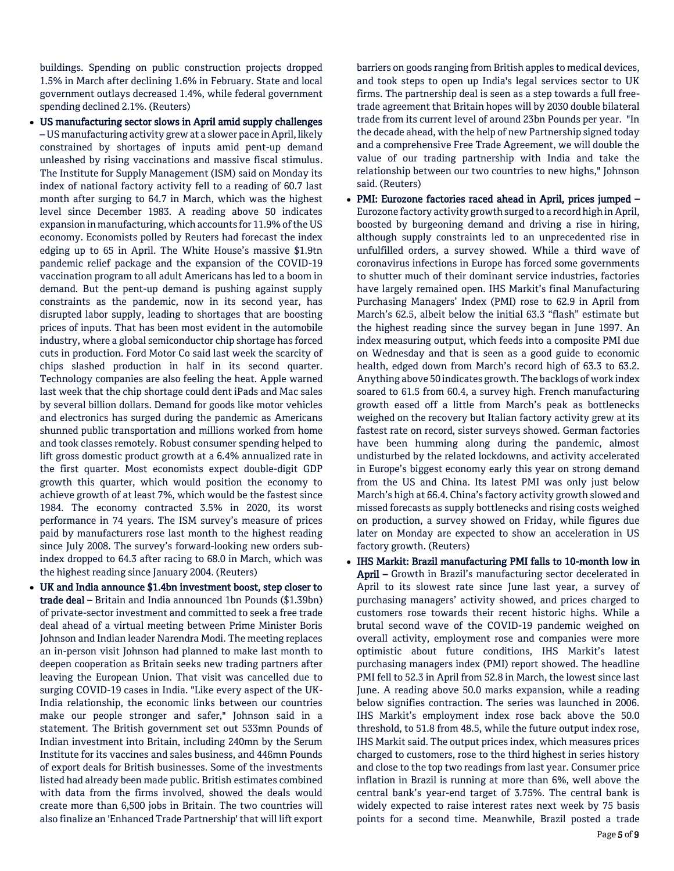buildings. Spending on public construction projects dropped 1.5% in March after declining 1.6% in February. State and local government outlays decreased 1.4%, while federal government spending declined 2.1%. (Reuters)

- US manufacturing sector slows in April amid supply challenges – US manufacturing activity grew at a slower pace in April, likely constrained by shortages of inputs amid pent-up demand unleashed by rising vaccinations and massive fiscal stimulus. The Institute for Supply Management (ISM) said on Monday its index of national factory activity fell to a reading of 60.7 last month after surging to 64.7 in March, which was the highest level since December 1983. A reading above 50 indicates expansion in manufacturing, which accounts for 11.9% of the US economy. Economists polled by Reuters had forecast the index edging up to 65 in April. The White House's massive \$1.9tn pandemic relief package and the expansion of the COVID-19 vaccination program to all adult Americans has led to a boom in demand. But the pent-up demand is pushing against supply constraints as the pandemic, now in its second year, has disrupted labor supply, leading to shortages that are boosting prices of inputs. That has been most evident in the automobile industry, where a global semiconductor chip shortage has forced cuts in production. Ford Motor Co said last week the scarcity of chips slashed production in half in its second quarter. Technology companies are also feeling the heat. Apple warned last week that the chip shortage could dent iPads and Mac sales by several billion dollars. Demand for goods like motor vehicles and electronics has surged during the pandemic as Americans shunned public transportation and millions worked from home and took classes remotely. Robust consumer spending helped to lift gross domestic product growth at a 6.4% annualized rate in the first quarter. Most economists expect double-digit GDP growth this quarter, which would position the economy to achieve growth of at least 7%, which would be the fastest since 1984. The economy contracted 3.5% in 2020, its worst performance in 74 years. The ISM survey's measure of prices paid by manufacturers rose last month to the highest reading since July 2008. The survey's forward-looking new orders subindex dropped to 64.3 after racing to 68.0 in March, which was the highest reading since January 2004. (Reuters)
- UK and India announce \$1.4bn investment boost, step closer to trade deal – Britain and India announced 1bn Pounds (\$1.39bn) of private-sector investment and committed to seek a free trade deal ahead of a virtual meeting between Prime Minister Boris Johnson and Indian leader Narendra Modi. The meeting replaces an in-person visit Johnson had planned to make last month to deepen cooperation as Britain seeks new trading partners after leaving the European Union. That visit was cancelled due to surging COVID-19 cases in India. "Like every aspect of the UK-India relationship, the economic links between our countries make our people stronger and safer," Johnson said in a statement. The British government set out 533mn Pounds of Indian investment into Britain, including 240mn by the Serum Institute for its vaccines and sales business, and 446mn Pounds of export deals for British businesses. Some of the investments listed had already been made public. British estimates combined with data from the firms involved, showed the deals would create more than 6,500 jobs in Britain. The two countries will also finalize an 'Enhanced Trade Partnership' that will lift export

barriers on goods ranging from British apples to medical devices, and took steps to open up India's legal services sector to UK firms. The partnership deal is seen as a step towards a full freetrade agreement that Britain hopes will by 2030 double bilateral trade from its current level of around 23bn Pounds per year. "In the decade ahead, with the help of new Partnership signed today and a comprehensive Free Trade Agreement, we will double the value of our trading partnership with India and take the relationship between our two countries to new highs," Johnson said. (Reuters)

- PMI: Eurozone factories raced ahead in April, prices jumped Eurozone factory activity growth surged to a record high in April, boosted by burgeoning demand and driving a rise in hiring, although supply constraints led to an unprecedented rise in unfulfilled orders, a survey showed. While a third wave of coronavirus infections in Europe has forced some governments to shutter much of their dominant service industries, factories have largely remained open. IHS Markit's final Manufacturing Purchasing Managers' Index (PMI) rose to 62.9 in April from March's 62.5, albeit below the initial 63.3 "flash" estimate but the highest reading since the survey began in June 1997. An index measuring output, which feeds into a composite PMI due on Wednesday and that is seen as a good guide to economic health, edged down from March's record high of 63.3 to 63.2. Anything above 50 indicates growth. The backlogs of work index soared to 61.5 from 60.4, a survey high. French manufacturing growth eased off a little from March's peak as bottlenecks weighed on the recovery but Italian factory activity grew at its fastest rate on record, sister surveys showed. German factories have been humming along during the pandemic, almost undisturbed by the related lockdowns, and activity accelerated in Europe's biggest economy early this year on strong demand from the US and China. Its latest PMI was only just below March's high at 66.4. China's factory activity growth slowed and missed forecasts as supply bottlenecks and rising costs weighed on production, a survey showed on Friday, while figures due later on Monday are expected to show an acceleration in US factory growth. (Reuters)
- IHS Markit: Brazil manufacturing PMI falls to 10-month low in April - Growth in Brazil's manufacturing sector decelerated in April to its slowest rate since June last year, a survey of purchasing managers' activity showed, and prices charged to customers rose towards their recent historic highs. While a brutal second wave of the COVID-19 pandemic weighed on overall activity, employment rose and companies were more optimistic about future conditions, IHS Markit's latest purchasing managers index (PMI) report showed. The headline PMI fell to 52.3 in April from 52.8 in March, the lowest since last June. A reading above 50.0 marks expansion, while a reading below signifies contraction. The series was launched in 2006. IHS Markit's employment index rose back above the 50.0 threshold, to 51.8 from 48.5, while the future output index rose, IHS Markit said. The output prices index, which measures prices charged to customers, rose to the third highest in series history and close to the top two readings from last year. Consumer price inflation in Brazil is running at more than 6%, well above the central bank's year-end target of 3.75%. The central bank is widely expected to raise interest rates next week by 75 basis points for a second time. Meanwhile, Brazil posted a trade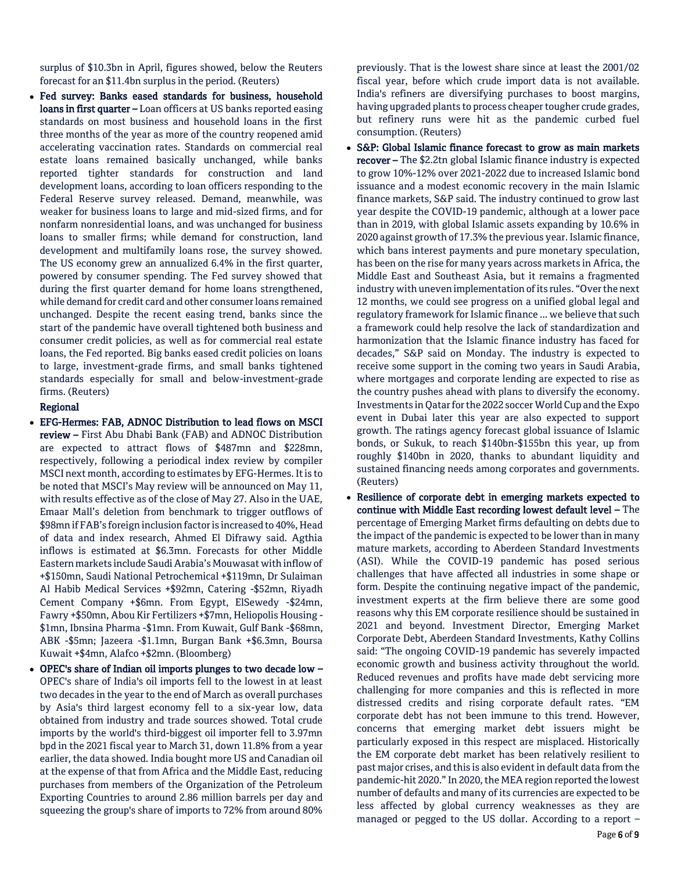surplus of \$10.3bn in April, figures showed, below the Reuters forecast for an \$11.4bn surplus in the period. (Reuters)

 Fed survey: Banks eased standards for business, household loans in first quarter – Loan officers at US banks reported easing standards on most business and household loans in the first three months of the year as more of the country reopened amid accelerating vaccination rates. Standards on commercial real estate loans remained basically unchanged, while banks reported tighter standards for construction and land development loans, according to loan officers responding to the Federal Reserve survey released. Demand, meanwhile, was weaker for business loans to large and mid-sized firms, and for nonfarm nonresidential loans, and was unchanged for business loans to smaller firms; while demand for construction, land development and multifamily loans rose, the survey showed. The US economy grew an annualized 6.4% in the first quarter, powered by consumer spending. The Fed survey showed that during the first quarter demand for home loans strengthened, while demand for credit card and other consumer loans remained unchanged. Despite the recent easing trend, banks since the start of the pandemic have overall tightened both business and consumer credit policies, as well as for commercial real estate loans, the Fed reported. Big banks eased credit policies on loans to large, investment-grade firms, and small banks tightened standards especially for small and below-investment-grade firms. (Reuters)

# Regional

- EFG-Hermes: FAB, ADNOC Distribution to lead flows on MSCI review – First Abu Dhabi Bank (FAB) and ADNOC Distribution are expected to attract flows of \$487mn and \$228mn, respectively, following a periodical index review by compiler MSCI next month, according to estimates by EFG-Hermes. It is to be noted that MSCI's May review will be announced on May 11, with results effective as of the close of May 27. Also in the UAE, Emaar Mall's deletion from benchmark to trigger outflows of \$98mn if FAB's foreign inclusion factor is increased to 40%, Head of data and index research, Ahmed El Difrawy said. Agthia inflows is estimated at \$6.3mn. Forecasts for other Middle Eastern markets include Saudi Arabia's Mouwasat with inflow of +\$150mn, Saudi National Petrochemical +\$119mn, Dr Sulaiman Al Habib Medical Services +\$92mn, Catering -\$52mn, Riyadh Cement Company +\$6mn. From Egypt, ElSewedy -\$24mn, Fawry +\$50mn, Abou Kir Fertilizers +\$7mn, Heliopolis Housing - \$1mn, Ibnsina Pharma -\$1mn. From Kuwait, Gulf Bank -\$68mn, ABK -\$5mn; Jazeera -\$1.1mn, Burgan Bank +\$6.3mn, Boursa Kuwait +\$4mn, Alafco +\$2mn. (Bloomberg)
- OPEC's share of Indian oil imports plunges to two decade low OPEC's share of India's oil imports fell to the lowest in at least two decades in the year to the end of March as overall purchases by Asia's third largest economy fell to a six-year low, data obtained from industry and trade sources showed. Total crude imports by the world's third-biggest oil importer fell to 3.97mn bpd in the 2021 fiscal year to March 31, down 11.8% from a year earlier, the data showed. India bought more US and Canadian oil at the expense of that from Africa and the Middle East, reducing purchases from members of the Organization of the Petroleum Exporting Countries to around 2.86 million barrels per day and squeezing the group's share of imports to 72% from around 80%

previously. That is the lowest share since at least the 2001/02 fiscal year, before which crude import data is not available. India's refiners are diversifying purchases to boost margins, having upgraded plants to process cheaper tougher crude grades, but refinery runs were hit as the pandemic curbed fuel consumption. (Reuters)

- S&P: Global Islamic finance forecast to grow as main markets recover – The \$2.2tn global Islamic finance industry is expected to grow 10%-12% over 2021-2022 due to increased Islamic bond issuance and a modest economic recovery in the main Islamic finance markets, S&P said. The industry continued to grow last year despite the COVID-19 pandemic, although at a lower pace than in 2019, with global Islamic assets expanding by 10.6% in 2020 against growth of 17.3% the previous year. Islamic finance, which bans interest payments and pure monetary speculation, has been on the rise for many years across markets in Africa, the Middle East and Southeast Asia, but it remains a fragmented industry with uneven implementation of its rules. "Over the next 12 months, we could see progress on a unified global legal and regulatory framework for Islamic finance ... we believe that such a framework could help resolve the lack of standardization and harmonization that the Islamic finance industry has faced for decades," S&P said on Monday. The industry is expected to receive some support in the coming two years in Saudi Arabia, where mortgages and corporate lending are expected to rise as the country pushes ahead with plans to diversify the economy. Investments in Qatar for the 2022 soccer World Cup and the Expo event in Dubai later this year are also expected to support growth. The ratings agency forecast global issuance of Islamic bonds, or Sukuk, to reach \$140bn-\$155bn this year, up from roughly \$140bn in 2020, thanks to abundant liquidity and sustained financing needs among corporates and governments. (Reuters)
- Resilience of corporate debt in emerging markets expected to continue with Middle East recording lowest default level – The percentage of Emerging Market firms defaulting on debts due to the impact of the pandemic is expected to be lower than in many mature markets, according to Aberdeen Standard Investments (ASI). While the COVID-19 pandemic has posed serious challenges that have affected all industries in some shape or form. Despite the continuing negative impact of the pandemic, investment experts at the firm believe there are some good reasons why this EM corporate resilience should be sustained in 2021 and beyond. Investment Director, Emerging Market Corporate Debt, Aberdeen Standard Investments, Kathy Collins said: "The ongoing COVID-19 pandemic has severely impacted economic growth and business activity throughout the world. Reduced revenues and profits have made debt servicing more challenging for more companies and this is reflected in more distressed credits and rising corporate default rates. "EM corporate debt has not been immune to this trend. However, concerns that emerging market debt issuers might be particularly exposed in this respect are misplaced. Historically the EM corporate debt market has been relatively resilient to past major crises, and this is also evident in default data from the pandemic-hit 2020." In 2020, the MEA region reported the lowest number of defaults and many of its currencies are expected to be less affected by global currency weaknesses as they are managed or pegged to the US dollar. According to a report –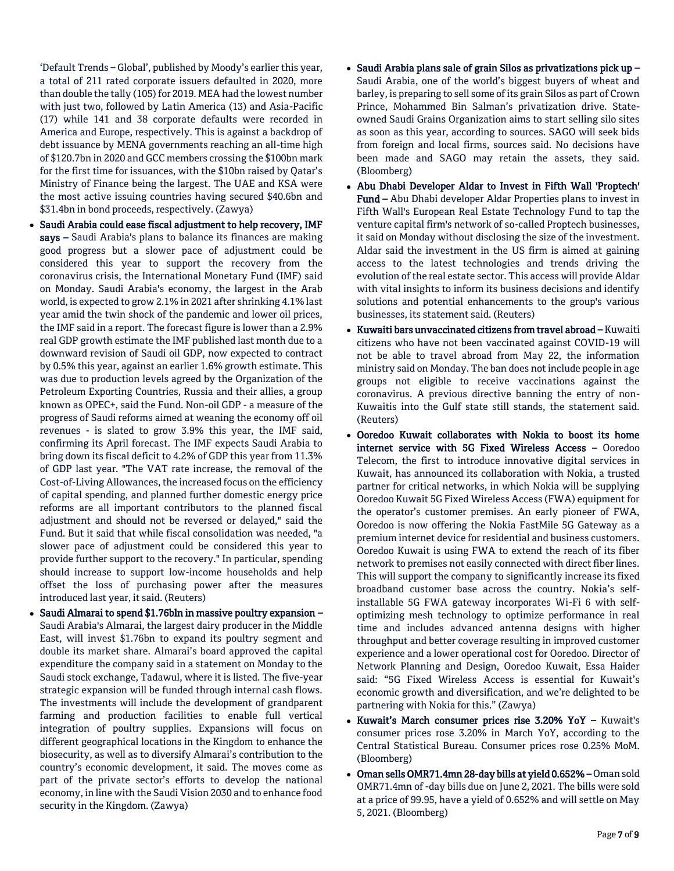'Default Trends – Global', published by Moody's earlier this year, a total of 211 rated corporate issuers defaulted in 2020, more than double the tally (105) for 2019. MEA had the lowest number with just two, followed by Latin America (13) and Asia-Pacific (17) while 141 and 38 corporate defaults were recorded in America and Europe, respectively. This is against a backdrop of debt issuance by MENA governments reaching an all-time high of \$120.7bn in 2020 and GCC members crossing the \$100bn mark for the first time for issuances, with the \$10bn raised by Qatar's Ministry of Finance being the largest. The UAE and KSA were the most active issuing countries having secured \$40.6bn and \$31.4bn in bond proceeds, respectively. (Zawya)

- Saudi Arabia could ease fiscal adjustment to help recovery, IMF says – Saudi Arabia's plans to balance its finances are making good progress but a slower pace of adjustment could be considered this year to support the recovery from the coronavirus crisis, the International Monetary Fund (IMF) said on Monday. Saudi Arabia's economy, the largest in the Arab world, is expected to grow 2.1% in 2021 after shrinking 4.1% last year amid the twin shock of the pandemic and lower oil prices, the IMF said in a report. The forecast figure is lower than a 2.9% real GDP growth estimate the IMF published last month due to a downward revision of Saudi oil GDP, now expected to contract by 0.5% this year, against an earlier 1.6% growth estimate. This was due to production levels agreed by the Organization of the Petroleum Exporting Countries, Russia and their allies, a group known as OPEC+, said the Fund. Non-oil GDP - a measure of the progress of Saudi reforms aimed at weaning the economy off oil revenues - is slated to grow 3.9% this year, the IMF said, confirming its April forecast. The IMF expects Saudi Arabia to bring down its fiscal deficit to 4.2% of GDP this year from 11.3% of GDP last year. "The VAT rate increase, the removal of the Cost-of-Living Allowances, the increased focus on the efficiency of capital spending, and planned further domestic energy price reforms are all important contributors to the planned fiscal adjustment and should not be reversed or delayed," said the Fund. But it said that while fiscal consolidation was needed, "a slower pace of adjustment could be considered this year to provide further support to the recovery." In particular, spending should increase to support low-income households and help offset the loss of purchasing power after the measures introduced last year, it said. (Reuters)
- $\bullet$  Saudi Almarai to spend \$1.76bln in massive poultry expansion Saudi Arabia's Almarai, the largest dairy producer in the Middle East, will invest \$1.76bn to expand its poultry segment and double its market share. Almarai's board approved the capital expenditure the company said in a statement on Monday to the Saudi stock exchange, Tadawul, where it is listed. The five-year strategic expansion will be funded through internal cash flows. The investments will include the development of grandparent farming and production facilities to enable full vertical integration of poultry supplies. Expansions will focus on different geographical locations in the Kingdom to enhance the biosecurity, as well as to diversify Almarai's contribution to the country's economic development, it said. The moves come as part of the private sector's efforts to develop the national economy, in line with the Saudi Vision 2030 and to enhance food security in the Kingdom. (Zawya)
- Saudi Arabia plans sale of grain Silos as privatizations pick up  $-$ Saudi Arabia, one of the world's biggest buyers of wheat and barley, is preparing to sell some of its grain Silos as part of Crown Prince, Mohammed Bin Salman's privatization drive. Stateowned Saudi Grains Organization aims to start selling silo sites as soon as this year, according to sources. SAGO will seek bids from foreign and local firms, sources said. No decisions have been made and SAGO may retain the assets, they said. (Bloomberg)
- Abu Dhabi Developer Aldar to Invest in Fifth Wall 'Proptech' Fund – Abu Dhabi developer Aldar Properties plans to invest in Fifth Wall's European Real Estate Technology Fund to tap the venture capital firm's network of so-called Proptech businesses, it said on Monday without disclosing the size of the investment. Aldar said the investment in the US firm is aimed at gaining access to the latest technologies and trends driving the evolution of the real estate sector. This access will provide Aldar with vital insights to inform its business decisions and identify solutions and potential enhancements to the group's various businesses, its statement said. (Reuters)
- Kuwaiti bars unvaccinated citizens from travel abroad Kuwaiti citizens who have not been vaccinated against COVID-19 will not be able to travel abroad from May 22, the information ministry said on Monday. The ban does not include people in age groups not eligible to receive vaccinations against the coronavirus. A previous directive banning the entry of non-Kuwaitis into the Gulf state still stands, the statement said. (Reuters)
- Ooredoo Kuwait collaborates with Nokia to boost its home internet service with 5G Fixed Wireless Access – Ooredoo Telecom, the first to introduce innovative digital services in Kuwait, has announced its collaboration with Nokia, a trusted partner for critical networks, in which Nokia will be supplying Ooredoo Kuwait 5G Fixed Wireless Access (FWA) equipment for the operator's customer premises. An early pioneer of FWA, Ooredoo is now offering the Nokia FastMile 5G Gateway as a premium internet device for residential and business customers. Ooredoo Kuwait is using FWA to extend the reach of its fiber network to premises not easily connected with direct fiber lines. This will support the company to significantly increase its fixed broadband customer base across the country. Nokia's selfinstallable 5G FWA gateway incorporates Wi-Fi 6 with selfoptimizing mesh technology to optimize performance in real time and includes advanced antenna designs with higher throughput and better coverage resulting in improved customer experience and a lower operational cost for Ooredoo. Director of Network Planning and Design, Ooredoo Kuwait, Essa Haider said: "5G Fixed Wireless Access is essential for Kuwait's economic growth and diversification, and we're delighted to be partnering with Nokia for this." (Zawya)
- Kuwait's March consumer prices rise 3.20% YoY Kuwait's consumer prices rose 3.20% in March YoY, according to the Central Statistical Bureau. Consumer prices rose 0.25% MoM. (Bloomberg)
- Oman sells OMR71.4mn 28-day bills at yield 0.652% Oman sold OMR71.4mn of -day bills due on June 2, 2021. The bills were sold at a price of 99.95, have a yield of 0.652% and will settle on May 5, 2021. (Bloomberg)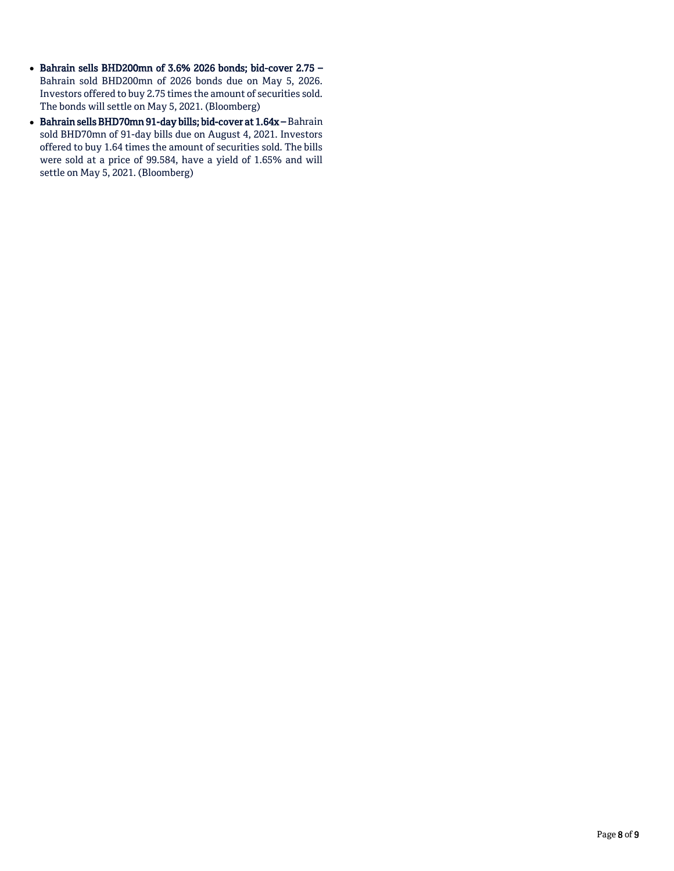- Bahrain sells BHD200mn of 3.6% 2026 bonds; bid-cover 2.75 -Bahrain sold BHD200mn of 2026 bonds due on May 5, 2026. Investors offered to buy 2.75 times the amount of securities sold. The bonds will settle on May 5, 2021. (Bloomberg)
- Bahrain sells BHD70mn 91-day bills; bid-cover at 1.64x Bahrain sold BHD70mn of 91-day bills due on August 4, 2021. Investors offered to buy 1.64 times the amount of securities sold. The bills were sold at a price of 99.584, have a yield of 1.65% and will settle on May 5, 2021. (Bloomberg)